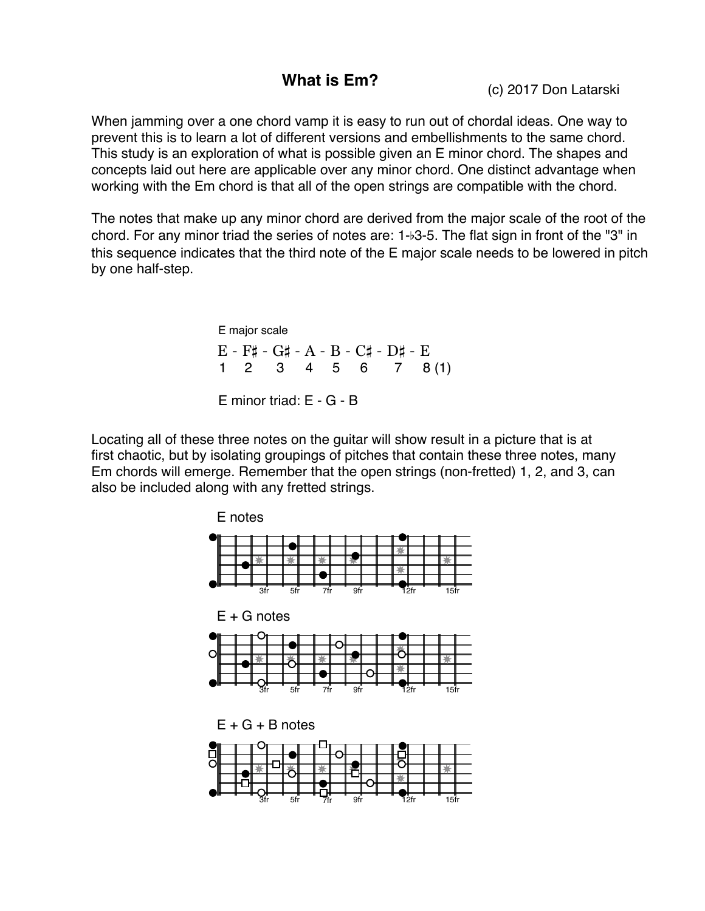**What is Em?** (c) 2017 Don Latarski

When jamming over a one chord vamp it is easy to run out of chordal ideas. One way to prevent this is to learn a lot of different versions and embellishments to the same chord. This study is an exploration of what is possible given an E minor chord. The shapes and concepts laid out here are applicable over any minor chord. One distinct advantage when working with the Em chord is that all of the open strings are compatible with the chord.

The notes that make up any minor chord are derived from the major scale of the root of the chord. For any minor triad the series of notes are: 1-b3-5. The flat sign in front of the "3" in this sequence indicates that the third note of the E major scale needs to be lowered in pitch by one half-step.

> E - F# - G# - A - B - C# - D# - E E major scale E minor triad: E - G - B 1 2 3 4 5 6 7 8 (1)

Locating all of these three notes on the guitar will show result in a picture that is at first chaotic, but by isolating groupings of pitches that contain these three notes, many Em chords will emerge. Remember that the open strings (non-fretted) 1, 2, and 3, can also be included along with any fretted strings.

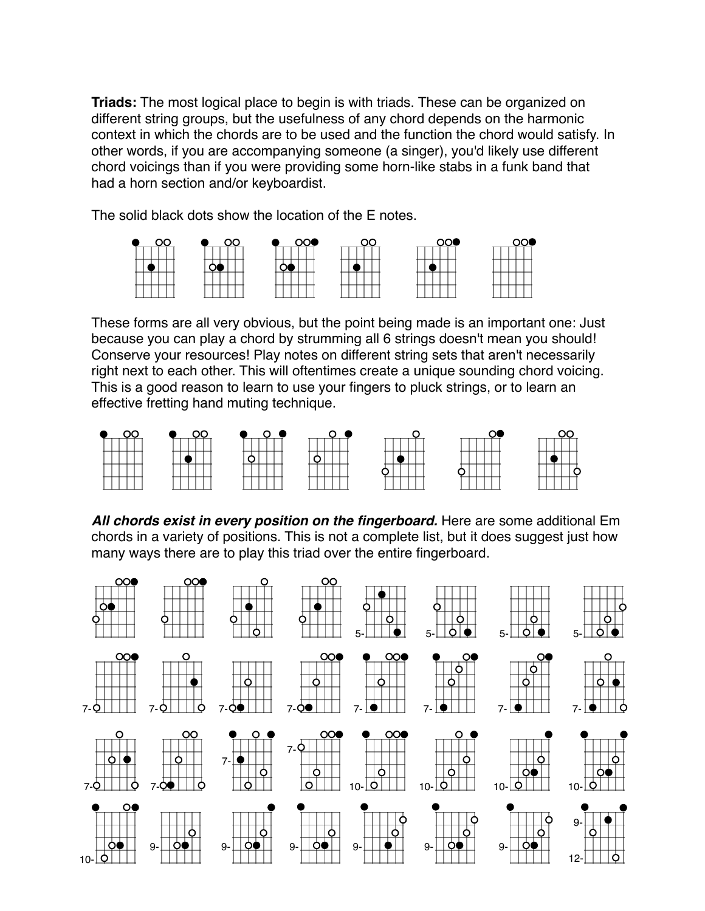**Triads:** The most logical place to begin is with triads. These can be organized on different string groups, but the usefulness of any chord depends on the harmonic context in which the chords are to be used and the function the chord would satisfy. In other words, if you are accompanying someone (a singer), you'd likely use different chord voicings than if you were providing some horn-like stabs in a funk band that had a horn section and/or keyboardist.

The solid black dots show the location of the E notes.



These forms are all very obvious, but the point being made is an important one: Just because you can play a chord by strumming all 6 strings doesn't mean you should! Conserve your resources! Play notes on different string sets that aren't necessarily right next to each other. This will oftentimes create a unique sounding chord voicing. This is a good reason to learn to use your fingers to pluck strings, or to learn an effective fretting hand muting technique.



*All chords exist in every position on the fingerboard.* Here are some additional Em chords in a variety of positions. This is not a complete list, but it does suggest just how many ways there are to play this triad over the entire fingerboard.

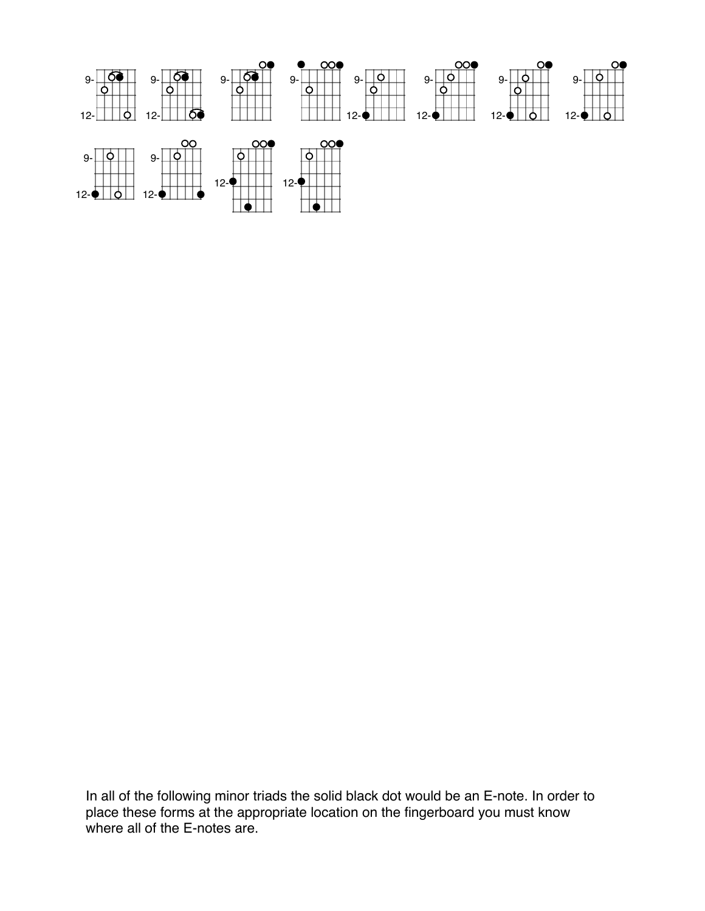

In all of the following minor triads the solid black dot would be an E-note. In order to place these forms at the appropriate location on the fingerboard you must know where all of the E-notes are.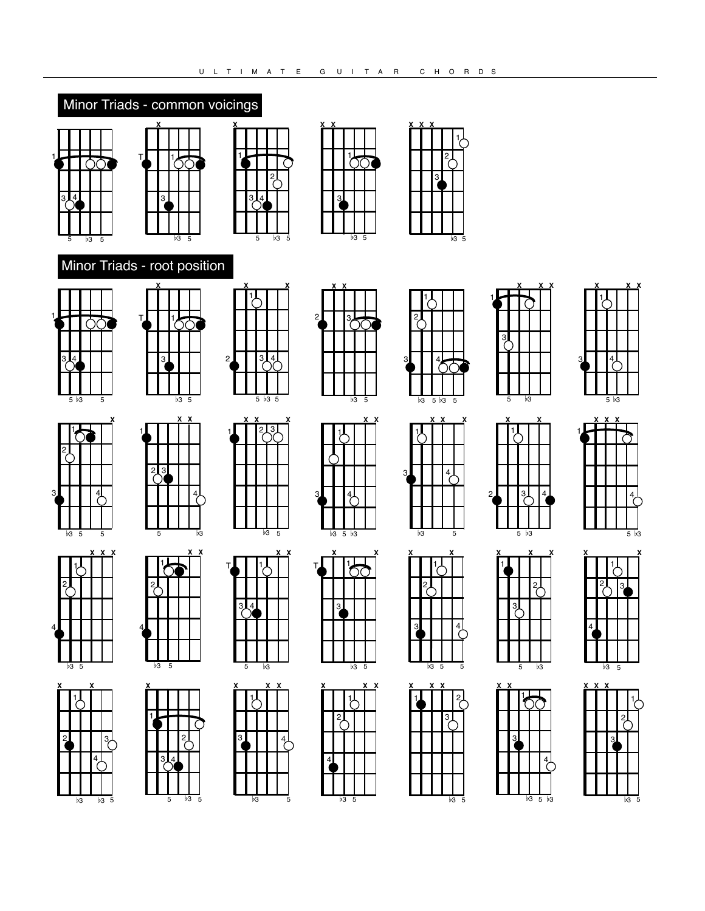## Minor Triads - common voicings





3

4

**X X**

 $5\;\overline{\smash{\big)}\,3\;\;5}$ 

 $\prod^{\chi}$ 

 $b3\overline{5}$ 

**X**

2**1** 34

1

2

1



**X X**

1

 $\frac{4}{5}$ 

3

5

**X X**

**X**

2





T

**X**

1













3





5

2

4



b3



4



5



3



 $b35$ 







 $\overline{b3}$  5



 $\overline{b3}$  5



3

1

5

**X** 1

2LI 3L 14

5

**X**

 $\frac{2}{\sqrt{2}}$ 

 $b3 \quad 5 \quad b3$ 

3

**X**

**X**

1





 $b3\overline{5}$ **X** 4 1 **X** 2L 3





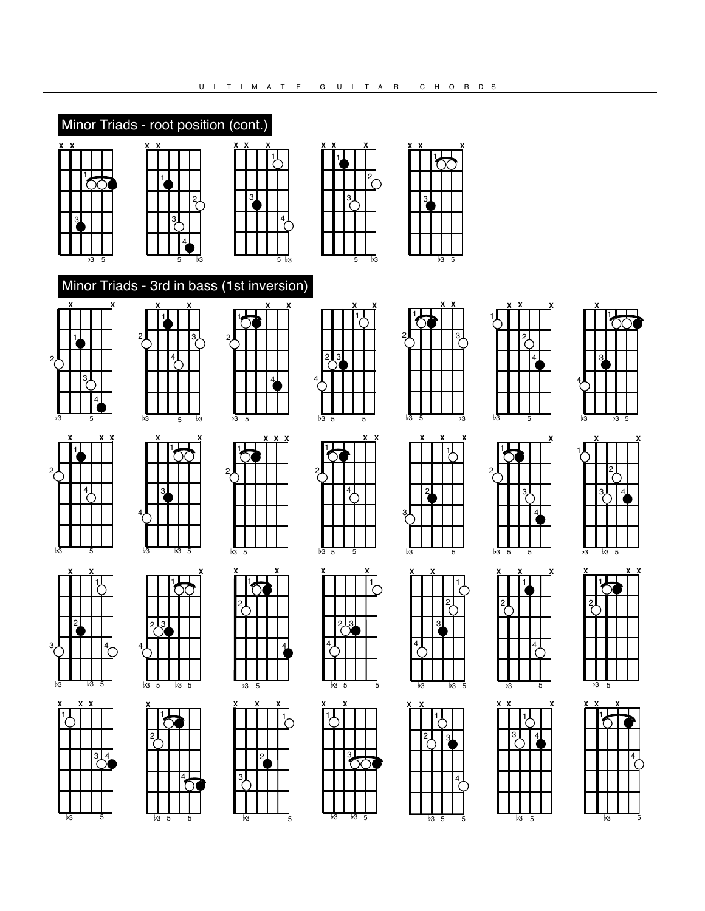





 

**X X**

 $b3$  5

**X**

**X X**



**X**

**X**

  $\frac{2}{7}$ 

 $\frac{3}{6}$ 

**X X**

### Minor Triads - 3rd in bass (1st inversion)



**X**







b3

**X X X**

 $\sqrt[3]{\frac{4}{1}}$ 





∩

**X**





ד<br>|<br>|-

**X X**













**X**



**X X** 

| $\overline{b3}$ |                | $\overline{5}$ |   |  |
|-----------------|----------------|----------------|---|--|
| <u>x x</u>      |                |                | X |  |
|                 |                |                |   |  |
|                 | $\overline{3}$ | 4              |   |  |
|                 |                |                |   |  |
|                 |                |                |   |  |

 $b3, 5$ 



**X**

**X X**

**X**













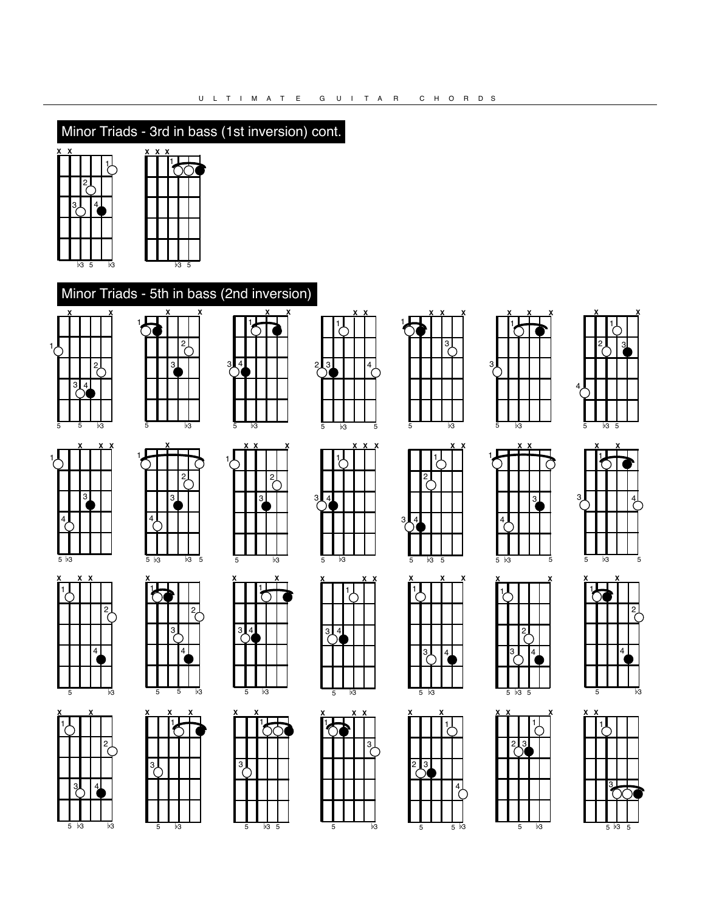# Minor Triads - 3rd in bass (1st inversion) cont.



1

## Minor Triads - 5th in bass (2nd inversion)

2

3

**X**

**X**



**X**

**X**



 $5\overline{b}3$ 

**X X** 1 **X**

5

**X X**

1

4

4

 $\frac{2}{f}$ 

3

 $5\sqrt{3}$ 

 $\overline{2}$ 

1



5







5











5



 $\frac{4}{\sqrt{2}}$ 

5

**X X**

**X**

5

4

1

**X**

3人 |4

**X** 1 H

3

1 2

1

**X X**

1

3

4 1 1 2

**X X**

2

3

**X**

**X X**

1

 $3\frac{4}{3}$ 

5

1

5

 $3<sub>l</sub>$ 

1







| x<br>X                                 |  |   |  | X |            | X | X |  |
|----------------------------------------|--|---|--|---|------------|---|---|--|
|                                        |  |   |  |   |            |   |   |  |
|                                        |  | 3 |  |   |            |   |   |  |
|                                        |  |   |  |   |            |   |   |  |
|                                        |  |   |  |   | 3,         |   |   |  |
|                                        |  |   |  |   |            |   |   |  |
|                                        |  |   |  |   |            |   |   |  |
|                                        |  |   |  |   |            |   |   |  |
| 5<br>$\overline{5}$<br>$\overline{53}$ |  |   |  |   |            |   |   |  |
| <u>x x</u>                             |  |   |  |   | $x \times$ |   |   |  |



 $5\sqrt{3}$ 

**X** 1

b3 5

**X X** 1

 $\frac{2}{3}$ 

**X**

5

2 3人 |4





5





**X** 1 **X**





5

**X**

**X**